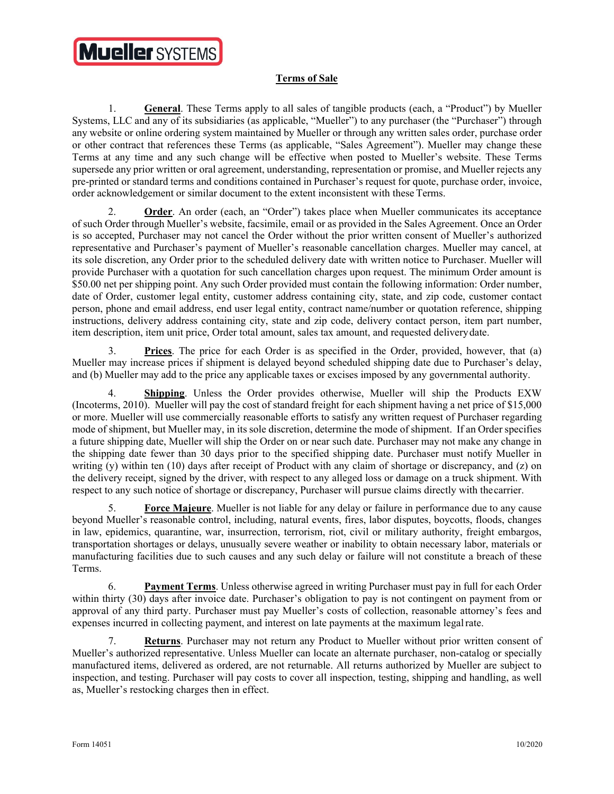## **Mueller SYSTEMS**

## **Terms of Sale**

1. **General**. These Terms apply to all sales of tangible products (each, a "Product") by Mueller Systems, LLC and any of its subsidiaries (as applicable, "Mueller") to any purchaser (the "Purchaser") through any website or online ordering system maintained by Mueller or through any written sales order, purchase order or other contract that references these Terms (as applicable, "Sales Agreement"). Mueller may change these Terms at any time and any such change will be effective when posted to Mueller's website. These Terms supersede any prior written or oral agreement, understanding, representation or promise, and Mueller rejects any pre-printed or standard terms and conditions contained in Purchaser's request for quote, purchase order, invoice, order acknowledgement or similar document to the extent inconsistent with these Terms.

2. **Order**. An order (each, an "Order") takes place when Mueller communicates its acceptance of such Order through Mueller's website, facsimile, email or as provided in the Sales Agreement. Once an Order is so accepted, Purchaser may not cancel the Order without the prior written consent of Mueller's authorized representative and Purchaser's payment of Mueller's reasonable cancellation charges. Mueller may cancel, at its sole discretion, any Order prior to the scheduled delivery date with written notice to Purchaser. Mueller will provide Purchaser with a quotation for such cancellation charges upon request. The minimum Order amount is \$50.00 net per shipping point. Any such Order provided must contain the following information: Order number, date of Order, customer legal entity, customer address containing city, state, and zip code, customer contact person, phone and email address, end user legal entity, contract name/number or quotation reference, shipping instructions, delivery address containing city, state and zip code, delivery contact person, item part number, item description, item unit price, Order total amount, sales tax amount, and requested delivery date.

3. **Prices**. The price for each Order is as specified in the Order, provided, however, that (a) Mueller may increase prices if shipment is delayed beyond scheduled shipping date due to Purchaser's delay, and (b) Mueller may add to the price any applicable taxes or excises imposed by any governmental authority.

4. **Shipping**. Unless the Order provides otherwise, Mueller will ship the Products EXW (Incoterms, 2010). Mueller will pay the cost of standard freight for each shipment having a net price of \$15,000 or more. Mueller will use commercially reasonable efforts to satisfy any written request of Purchaser regarding mode of shipment, but Mueller may, in its sole discretion, determine the mode of shipment. If an Order specifies a future shipping date, Mueller will ship the Order on or near such date. Purchaser may not make any change in the shipping date fewer than 30 days prior to the specified shipping date. Purchaser must notify Mueller in writing (y) within ten (10) days after receipt of Product with any claim of shortage or discrepancy, and (z) on the delivery receipt, signed by the driver, with respect to any alleged loss or damage on a truck shipment. With respect to any such notice of shortage or discrepancy, Purchaser will pursue claims directly with the carrier.

5. **Force Majeure**. Mueller is not liable for any delay or failure in performance due to any cause beyond Mueller's reasonable control, including, natural events, fires, labor disputes, boycotts, floods, changes in law, epidemics, quarantine, war, insurrection, terrorism, riot, civil or military authority, freight embargos, transportation shortages or delays, unusually severe weather or inability to obtain necessary labor, materials or manufacturing facilities due to such causes and any such delay or failure will not constitute a breach of these Terms.

6. **Payment Terms**. Unless otherwise agreed in writing Purchaser must pay in full for each Order within thirty (30) days after invoice date. Purchaser's obligation to pay is not contingent on payment from or approval of any third party. Purchaser must pay Mueller's costs of collection, reasonable attorney's fees and expenses incurred in collecting payment, and interest on late payments at the maximum legal rate.

7. **Returns**. Purchaser may not return any Product to Mueller without prior written consent of Mueller's authorized representative. Unless Mueller can locate an alternate purchaser, non-catalog or specially manufactured items, delivered as ordered, are not returnable. All returns authorized by Mueller are subject to inspection, and testing. Purchaser will pay costs to cover all inspection, testing, shipping and handling, as well as, Mueller's restocking charges then in effect.